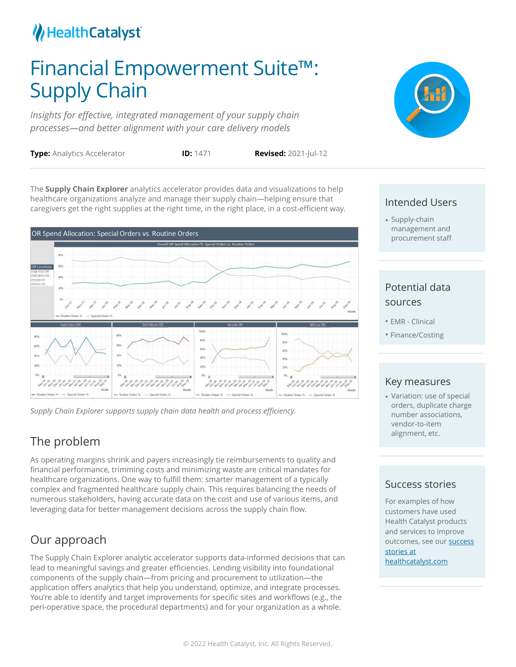## Health Catalyst

# Financial Empowerment Suite™: Supply Chain

*Insights for effective, integrated management of your supply chain processes—and better alignment with your care delivery models*



**Type:** Analytics Accelerator **ID:** 1471 **Revised:** 2021-Jul-12

The **Supply Chain Explorer** analytics accelerator provides data and visualizations to help healthcare organizations analyze and manage their supply chain—helping ensure that caregivers get the right supplies at the right time, in the right place, in a cost-efficient way.



*Supply Chain Explorer supports supply chain data health and process efficiency.*

## The problem

As operating margins shrink and payers increasingly tie reimbursements to quality and financial performance, trimming costs and minimizing waste are critical mandates for healthcare organizations. One way to fulfill them: smarter management of a typically complex and fragmented healthcare supply chain. This requires balancing the needs of numerous stakeholders, having accurate data on the cost and use of various items, and leveraging data for better management decisions across the supply chain flow.

## Our approach

The Supply Chain Explorer analytic accelerator supports data-informed decisions that can lead to meaningful savings and greater efficiencies. Lending visibility into foundational components of the supply chain—from pricing and procurement to utilization—the application offers analytics that help you understand, optimize, and integrate processes. You're able to identify and target improvements for specific sites and workflows (e.g., the peri-operative space, the procedural departments) and for your organization as a whole.

#### Intended Users

• Supply-chain management and procurement staff

### Potential data sources

- EMR Clinical
- Finance/Costing

#### Key measures

• Variation: use of special orders, duplicate charge number associations, vendor-to-item alignment, etc.

#### Success stories

For examples of how customers have used Health Catalyst products and services to improve outcomes, see our success stories at [healthcatalyst.com](https://www.healthcatalyst.com/success_stories/)